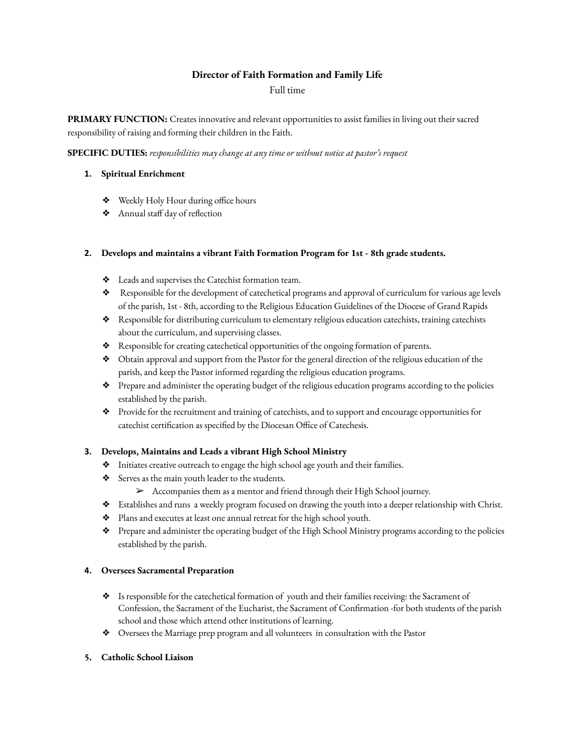# **Director of Faith Formation and Family Life**

## Full time

**PRIMARY FUNCTION:** Creates innovative and relevant opportunities to assist families in living out their sacred responsibility of raising and forming their children in the Faith.

**SPECIFIC DUTIES:** *responsibilities may change at any time or without notice at pastor's request*

### **1. Spiritual Enrichment**

- ❖ Weekly Holy Hour during office hours
- ❖ Annual staff day of reflection

## **2. Develops and maintains a vibrant Faith Formation Program for 1st - 8th grade students.**

- ❖ Leads and supervises the Catechist formation team.
- ❖ Responsible for the development of catechetical programs and approval of curriculum for various age levels of the parish, 1st - 8th, according to the Religious Education Guidelines of the Diocese of Grand Rapids
- ❖ Responsible for distributing curriculum to elementary religious education catechists, training catechists about the curriculum, and supervising classes.
- ❖ Responsible for creating catechetical opportunities of the ongoing formation of parents.
- ❖ Obtain approval and support from the Pastor for the general direction of the religious education of the parish, and keep the Pastor informed regarding the religious education programs.
- ❖ Prepare and administer the operating budget of the religious education programs according to the policies established by the parish.
- ❖ Provide for the recruitment and training of catechists, and to support and encourage opportunities for catechist certification as specified by the Diocesan Office of Catechesis.

## **3. Develops, Maintains and Leads a vibrant High School Ministry**

- ❖ Initiates creative outreach to engage the high school age youth and their families.
- ❖ Serves as the main youth leader to the students.
	- ➢ Accompanies them as a mentor and friend through their High School journey.
- ❖ Establishes and runs a weekly program focused on drawing the youth into a deeper relationship with Christ.
- ❖ Plans and executes at least one annual retreat for the high school youth.
- ❖ Prepare and administer the operating budget of the High School Ministry programs according to the policies established by the parish.

#### **4. Oversees Sacramental Preparation**

- ❖ Is responsible for the catechetical formation of youth and their families receiving: the Sacrament of Confession, the Sacrament of the Eucharist, the Sacrament of Confirmation -for both students of the parish school and those which attend other institutions of learning.
- ❖ Oversees the Marriage prep program and all volunteers in consultation with the Pastor

#### **5. Catholic School Liaison**